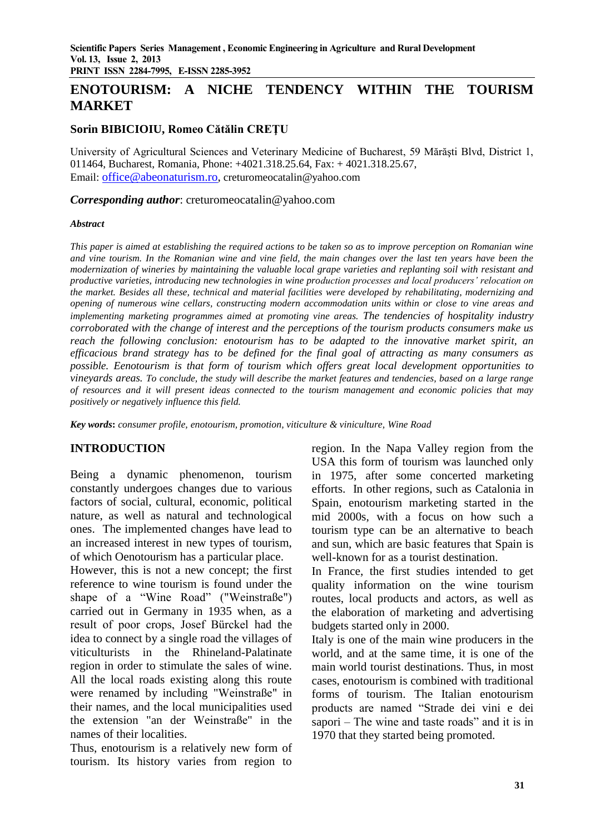# **ENOTOURISM: A NICHE TENDENCY WITHIN THE TOURISM MARKET**

#### **Sorin BIBICIOIU, Romeo Cătălin CREŢU**

University of Agricultural Sciences and Veterinary Medicine of Bucharest, 59 Mărăşti Blvd, District 1, 011464, Bucharest, Romania, Phone: +4021.318.25.64, Fax: + 4021.318.25.67, Email: [office@abeonaturism.ro,](mailto:office@abeonaturism.ro) creturomeocatalin@yahoo.com

*Corresponding author*: creturomeocatalin@yahoo.com

#### *Abstract*

*This paper is aimed at establishing the required actions to be taken so as to improve perception on Romanian wine and vine tourism. In the Romanian wine and vine field, the main changes over the last ten years have been the modernization of wineries by maintaining the valuable local grape varieties and replanting soil with resistant and productive varieties, introducing new technologies in wine production processes and local producers' relocation on the market. Besides all these, technical and material facilities were developed by rehabilitating, modernizing and opening of numerous wine cellars, constructing modern accommodation units within or close to vine areas and implementing marketing programmes aimed at promoting vine areas. The tendencies of hospitality industry corroborated with the change of interest and the perceptions of the tourism products consumers make us reach the following conclusion: enotourism has to be adapted to the innovative market spirit, an efficacious brand strategy has to be defined for the final goal of attracting as many consumers as possible. Eenotourism is that form of tourism which offers great local development opportunities to vineyards areas. To conclude, the study will describe the market features and tendencies, based on a large range of resources and it will present ideas connected to the tourism management and economic policies that may positively or negatively influence this field.*

*Key words***:** *consumer profile, enotourism, promotion, viticulture & viniculture, Wine Road*

### **INTRODUCTION**

Being a dynamic phenomenon, tourism constantly undergoes changes due to various factors of social, cultural, economic, political nature, as well as natural and technological ones. The implemented changes have lead to an increased interest in new types of tourism, of which Oenotourism has a particular place.

However, this is not a new concept; the first reference to wine tourism is found under the shape of a "Wine Road" ("Weinstraße") carried out in Germany in 1935 when, as a result of poor crops, Josef Bürckel had the idea to connect by a single road the villages of viticulturists in the Rhineland-Palatinate region in order to stimulate the sales of wine. All the local roads existing along this route were renamed by including "Weinstraße" in their names, and the local municipalities used the extension "an der Weinstraße" in the names of their localities.

Thus, enotourism is a relatively new form of tourism. Its history varies from region to

region. In the Napa Valley region from the USA this form of tourism was launched only in 1975, after some concerted marketing efforts. In other regions, such as Catalonia in Spain, enotourism marketing started in the mid 2000s, with a focus on how such a tourism type can be an alternative to beach and sun, which are basic features that Spain is well-known for as a tourist destination.

In France, the first studies intended to get quality information on the wine tourism routes, local products and actors, as well as the elaboration of marketing and advertising budgets started only in 2000.

Italy is one of the main wine producers in the world, and at the same time, it is one of the main world tourist destinations. Thus, in most cases, enotourism is combined with traditional forms of tourism. The Italian enotourism products are named "Strade dei vini e dei sapori – The wine and taste roads" and it is in 1970 that they started being promoted.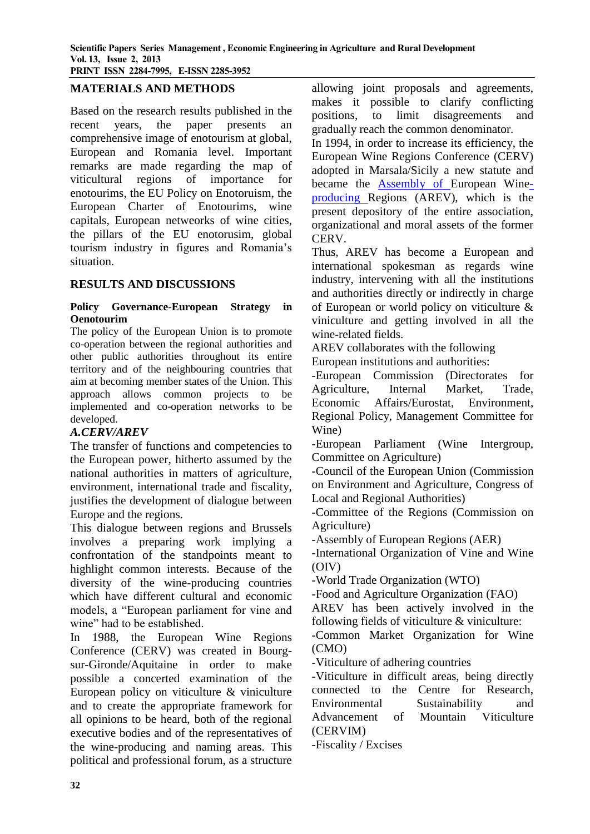## **MATERIALS AND METHODS**

Based on the research results published in the recent years, the paper presents an comprehensive image of enotourism at global, European and Romania level. Important remarks are made regarding the map of viticultural regions of importance for enotourims, the EU Policy on Enotoruism, the European Charter of Enotourims, wine capitals, European netweorks of wine cities, the pillars of the EU enotorusim, global tourism industry in figures and Romania's situation.

#### **RESULTS AND DISCUSSIONS**

#### **Policy Governance-European Strategy in Oenotourim**

The policy of the European Union is to promote co-operation between the regional authorities and other public authorities throughout its entire territory and of the neighbouring countries that aim at becoming member states of the Union. This approach allows common projects to be implemented and co-operation networks to be developed.

### *A.CERV/AREV*

The transfer of functions and competencies to the European power, hitherto assumed by the national authorities in matters of agriculture, environment, international trade and fiscality, justifies the development of dialogue between Europe and the regions.

This dialogue between regions and Brussels involves a preparing work implying a confrontation of the standpoints meant to highlight common interests. Because of the diversity of the wine-producing countries which have different cultural and economic models, a "European parliament for vine and wine" had to be established.

In 1988, the European Wine Regions Conference (CERV) was created in Bourgsur-Gironde/Aquitaine in order to make possible a concerted examination of the European policy on viticulture & viniculture and to create the appropriate framework for all opinions to be heard, both of the regional executive bodies and of the representatives of the wine-producing and naming areas. This political and professional forum, as a structure

allowing joint proposals and agreements, makes it possible to clarify conflicting positions, to limit disagreements and gradually reach the common denominator.

In 1994, in order to increase its efficiency, the European Wine Regions Conference (CERV) adopted in Marsala/Sicily a new statute and became the [Assembly of European Wine](http://en.wikipedia.org/wiki/Assembly_of_European_Wine-producing_Regions)[producing Regions](http://en.wikipedia.org/wiki/Assembly_of_European_Wine-producing_Regions) (AREV), which is the present depository of the entire association, organizational and moral assets of the former CERV.

Thus, AREV has become a European and international spokesman as regards wine industry, intervening with all the institutions and authorities directly or indirectly in charge of European or world policy on viticulture & viniculture and getting involved in all the wine-related fields.

AREV collaborates with the following

European institutions and authorities: -European Commission (Directorates for

Agriculture, Internal Market, Trade, Economic Affairs/Eurostat, Environment, Regional Policy, Management Committee for Wine)

-European Parliament (Wine Intergroup, Committee on Agriculture)

-Council of the European Union (Commission on Environment and Agriculture, Congress of Local and Regional Authorities)

-Committee of the Regions (Commission on Agriculture)

-Assembly of European Regions (AER)

-International Organization of Vine and Wine (OIV)

-World Trade Organization (WTO)

-Food and Agriculture Organization (FAO)

AREV has been actively involved in the following fields of viticulture & viniculture:

-Common Market Organization for Wine (CMO)

-Viticulture of adhering countries

-Viticulture in difficult areas, being directly connected to the Centre for Research, Environmental Sustainability and Advancement of Mountain Viticulture (CERVIM)

-Fiscality / Excises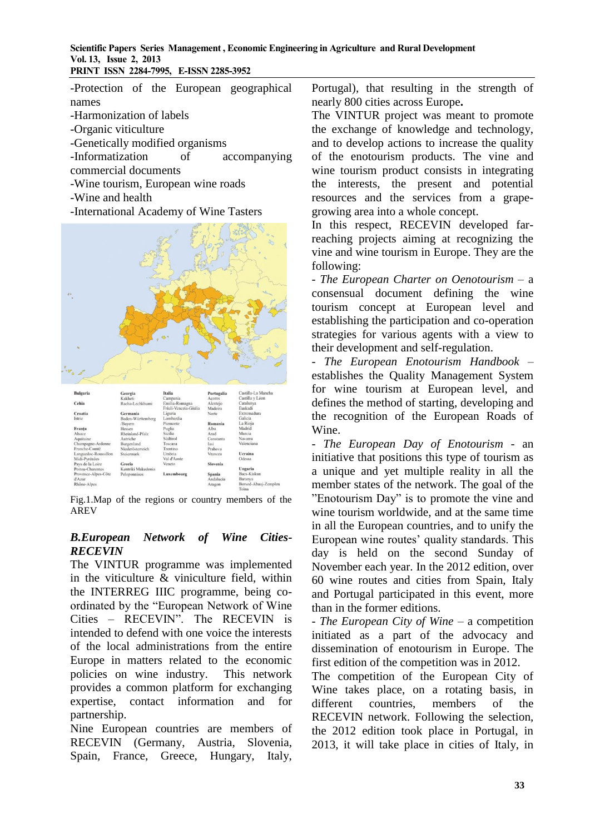-Protection of the European geographical names -Harmonization of labels

- -Organic viticulture
- -Genetically modified organisms
- -Informatization of accompanying commercial documents
- -Wine tourism, European wine roads
- -Wine and health
- -International Academy of Wine Tasters



| <i>strie</i>         | Baden-Wurttemberg  | Lombardia   |           | Gancia                        |
|----------------------|--------------------|-------------|-----------|-------------------------------|
|                      | /Bayern            | Piemonte    | Romania   | La Rioja                      |
| Franta               | Hessen             | Puglia      | Alba      | Madrid                        |
| Alsace               | Rheinland-Pfalz    | Sicilia     | Arad      | Murcia                        |
| Aquitaine            | Autriche           | Südtirol    | Constanta | Navarra                       |
| Champagne-Ardenne    | Burgenland         | Toscana     | Iasi      | Valenciana                    |
| Franche-Comté        | Niederösterreich   | Trentino    | Prahova   |                               |
| Languedoc-Roussillon | Steiermark         | Umbria      | Vrancea   | Ucraina                       |
| Midi-Pyrénées        |                    | Val d'Aoste |           | Odessa                        |
| Pays de la Loire     | Grecia             | Veneto      | Slovenia  |                               |
| Poitou-Charentes     | Kentriki Makedonia |             |           | Ungaria                       |
| Provence-Alpes-Côte  | Peloponnisos       | Luxembourg  | Spania    | Bacs-Kiskun                   |
| d'Azur               |                    |             | Andalucia | Baranya                       |
| Rhône-Alpes          |                    |             | Aragon    | Borsod-Abauj-Zemplen<br>Tobac |

Fig.1.Map of the regions or country members of the AREV

## *B.European Network of Wine Cities-RECEVIN*

The VINTUR programme was implemented in the viticulture & viniculture field, within the INTERREG IIIC programme, being coordinated by the "European Network of Wine Cities – RECEVIN". The RECEVIN is intended to defend with one voice the interests of the local administrations from the entire Europe in matters related to the economic policies on wine industry. This network provides a common platform for exchanging expertise, contact information and for partnership.

Nine European countries are members of RECEVIN (Germany, Austria, Slovenia, Spain, France, Greece, Hungary, Italy,

Portugal), that resulting in the strength of nearly 800 cities across Europe**.**

The VINTUR project was meant to promote the exchange of knowledge and technology, and to develop actions to increase the quality of the enotourism products. The vine and wine tourism product consists in integrating the interests, the present and potential resources and the services from a grapegrowing area into a whole concept.

In this respect, RECEVIN developed farreaching projects aiming at recognizing the vine and wine tourism in Europe. They are the following:

- *The European Charter on Oenotourism* – a consensual document defining the wine tourism concept at European level and establishing the participation and co-operation strategies for various agents with a view to their development and self-regulation.

- *The European Enotourism Handbook* – establishes the Quality Management System for wine tourism at European level, and defines the method of starting, developing and the recognition of the European Roads of Wine.

*- The European Day of Enotourism* - an initiative that positions this type of tourism as a unique and yet multiple reality in all the member states of the network. The goal of the "Enotourism Day" is to promote the vine and wine tourism worldwide, and at the same time in all the European countries, and to unify the European wine routes' quality standards. This day is held on the second Sunday of November each year. In the 2012 edition, over 60 wine routes and cities from Spain, Italy and Portugal participated in this event, more than in the former editions.

*- The European City of Wine* – a competition initiated as a part of the advocacy and dissemination of enotourism in Europe. The first edition of the competition was in 2012.

The competition of the European City of Wine takes place, on a rotating basis, in different countries, members of the RECEVIN network. Following the selection, the 2012 edition took place in Portugal, in 2013, it will take place in cities of Italy, in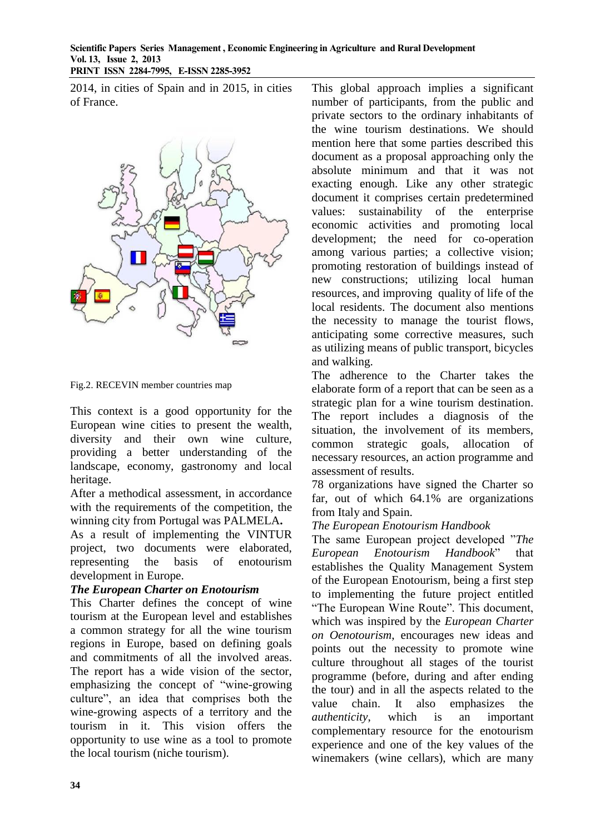2014, in cities of Spain and in 2015, in cities of France.



Fig.2. RECEVIN member countries map

This context is a good opportunity for the European wine cities to present the wealth, diversity and their own wine culture, providing a better understanding of the landscape, economy, gastronomy and local heritage.

After a methodical assessment, in accordance with the requirements of the competition, the winning city from Portugal was PALMELA**.**

As a result of implementing the VINTUR project, two documents were elaborated, representing the basis of enotourism development in Europe.

### *The European Charter on Enotourism*

This Charter defines the concept of wine tourism at the European level and establishes a common strategy for all the wine tourism regions in Europe, based on defining goals and commitments of all the involved areas. The report has a wide vision of the sector, emphasizing the concept of "wine-growing culture", an idea that comprises both the wine-growing aspects of a territory and the tourism in it. This vision offers the opportunity to use wine as a tool to promote the local tourism (niche tourism).

This global approach implies a significant number of participants, from the public and private sectors to the ordinary inhabitants of the wine tourism destinations. We should mention here that some parties described this document as a proposal approaching only the absolute minimum and that it was not exacting enough. Like any other strategic document it comprises certain predetermined values: sustainability of the enterprise economic activities and promoting local development; the need for co-operation among various parties; a collective vision; promoting restoration of buildings instead of new constructions; utilizing local human resources, and improving quality of life of the local residents. The document also mentions the necessity to manage the tourist flows, anticipating some corrective measures, such as utilizing means of public transport, bicycles and walking.

The adherence to the Charter takes the elaborate form of a report that can be seen as a strategic plan for a wine tourism destination. The report includes a diagnosis of the situation, the involvement of its members, common strategic goals, allocation of necessary resources, an action programme and assessment of results.

78 organizations have signed the Charter so far, out of which 64.1% are organizations from Italy and Spain.

### *The European Enotourism Handbook*

The same European project developed "*The European Enotourism Handbook*" that establishes the Quality Management System of the European Enotourism, being a first step to implementing the future project entitled "The European Wine Route". This document, which was inspired by the *European Charter on Oenotourism*, encourages new ideas and points out the necessity to promote wine culture throughout all stages of the tourist programme (before, during and after ending the tour) and in all the aspects related to the value chain. It also emphasizes the *authenticity*, which is an important complementary resource for the enotourism experience and one of the key values of the winemakers (wine cellars), which are many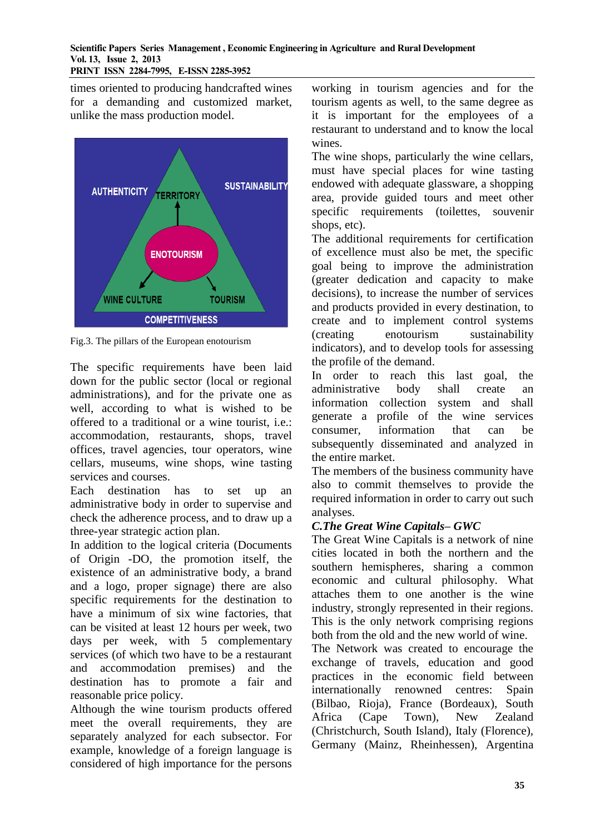times oriented to producing handcrafted wines for a demanding and customized market, unlike the mass production model.



Fig.3. The pillars of the European enotourism

The specific requirements have been laid down for the public sector (local or regional administrations), and for the private one as well, according to what is wished to be offered to a traditional or a wine tourist, i.e.: accommodation, restaurants, shops, travel offices, travel agencies, tour operators, wine cellars, museums, wine shops, wine tasting services and courses.

Each destination has to set up an administrative body in order to supervise and check the adherence process, and to draw up a three-year strategic action plan.

In addition to the logical criteria (Documents of Origin -DO, the promotion itself, the existence of an administrative body, a brand and a logo, proper signage) there are also specific requirements for the destination to have a minimum of six wine factories, that can be visited at least 12 hours per week, two days per week, with 5 complementary services (of which two have to be a restaurant and accommodation premises) and the destination has to promote a fair and reasonable price policy.

Although the wine tourism products offered meet the overall requirements, they are separately analyzed for each subsector. For example, knowledge of a foreign language is considered of high importance for the persons

working in tourism agencies and for the tourism agents as well, to the same degree as it is important for the employees of a restaurant to understand and to know the local wines.

The wine shops, particularly the wine cellars, must have special places for wine tasting endowed with adequate glassware, a shopping area, provide guided tours and meet other specific requirements (toilettes, souvenir shops, etc).

The additional requirements for certification of excellence must also be met, the specific goal being to improve the administration (greater dedication and capacity to make decisions), to increase the number of services and products provided in every destination, to create and to implement control systems (creating enotourism sustainability indicators), and to develop tools for assessing the profile of the demand.

In order to reach this last goal, the administrative body shall create an information collection system and shall generate a profile of the wine services consumer, information that can be subsequently disseminated and analyzed in the entire market.

The members of the business community have also to commit themselves to provide the required information in order to carry out such analyses.

## *C.The Great Wine Capitals– GWC*

The Great Wine Capitals is a network of nine cities located in both the northern and the southern hemispheres, sharing a common economic and cultural philosophy. What attaches them to one another is the wine industry, strongly represented in their regions. This is the only network comprising regions both from the old and the new world of wine.

The Network was created to encourage the exchange of travels, education and good practices in the economic field between internationally renowned centres: Spain (Bilbao, Rioja), France (Bordeaux), South Africa (Cape Town), New Zealand (Christchurch, South Island), Italy (Florence), Germany (Mainz, Rheinhessen), Argentina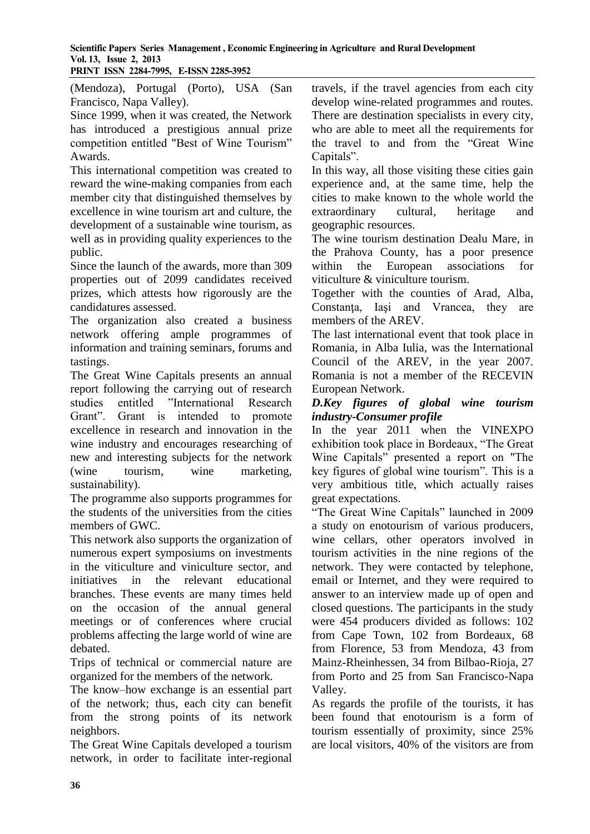## **Scientific Papers Series Management , Economic Engineering in Agriculture and Rural Development Vol. 13, Issue 2, 2013**

**PRINT ISSN 2284-7995, E-ISSN 2285-3952** 

(Mendoza), Portugal (Porto), USA (San Francisco, Napa Valley).

Since 1999, when it was created, the Network has introduced a prestigious annual prize competition entitled "Best of Wine Tourism" Awards.

This international competition was created to reward the wine-making companies from each member city that distinguished themselves by excellence in wine tourism art and culture, the development of a sustainable wine tourism, as well as in providing quality experiences to the public.

Since the launch of the awards, more than 309 properties out of 2099 candidates received prizes, which attests how rigorously are the candidatures assessed.

The organization also created a business network offering ample programmes of information and training seminars, forums and tastings.

The Great Wine Capitals presents an annual report following the carrying out of research studies entitled "International Research Grant". Grant is intended to promote excellence in research and innovation in the wine industry and encourages researching of new and interesting subjects for the network (wine tourism, wine marketing, sustainability).

The programme also supports programmes for the students of the universities from the cities members of GWC.

This network also supports the organization of numerous expert symposiums on investments in the viticulture and viniculture sector, and initiatives in the relevant educational branches. These events are many times held on the occasion of the annual general meetings or of conferences where crucial problems affecting the large world of wine are debated.

Trips of technical or commercial nature are organized for the members of the network.

The know–how exchange is an essential part of the network; thus, each city can benefit from the strong points of its network neighbors.

The Great Wine Capitals developed a tourism network, in order to facilitate inter-regional travels, if the travel agencies from each city develop wine-related programmes and routes. There are destination specialists in every city, who are able to meet all the requirements for the travel to and from the "Great Wine Capitals".

In this way, all those visiting these cities gain experience and, at the same time, help the cities to make known to the whole world the extraordinary cultural, heritage and geographic resources.

The wine tourism destination Dealu Mare, in the Prahova County, has a poor presence within the European associations for viticulture & viniculture tourism.

Together with the counties of Arad, Alba, Constanţa, Iaşi and Vrancea, they are members of the AREV.

The last international event that took place in Romania, in Alba Iulia, was the International Council of the AREV, in the year 2007. Romania is not a member of the RECEVIN European Network.

#### *D.Key figures of global wine tourism industry-Consumer profile*

In the year 2011 when the VINEXPO exhibition took place in Bordeaux, "The Great Wine Capitals" presented a report on "The key figures of global wine tourism". This is a very ambitious title, which actually raises great expectations.

"The Great Wine Capitals" launched in 2009 a study on enotourism of various producers, wine cellars, other operators involved in tourism activities in the nine regions of the network. They were contacted by telephone, email or Internet, and they were required to answer to an interview made up of open and closed questions. The participants in the study were 454 producers divided as follows: 102 from Cape Town, 102 from Bordeaux, 68 from Florence, 53 from Mendoza, 43 from Mainz-Rheinhessen, 34 from Bilbao-Rioja, 27 from Porto and 25 from San Francisco-Napa Valley.

As regards the profile of the tourists, it has been found that enotourism is a form of tourism essentially of proximity, since 25% are local visitors, 40% of the visitors are from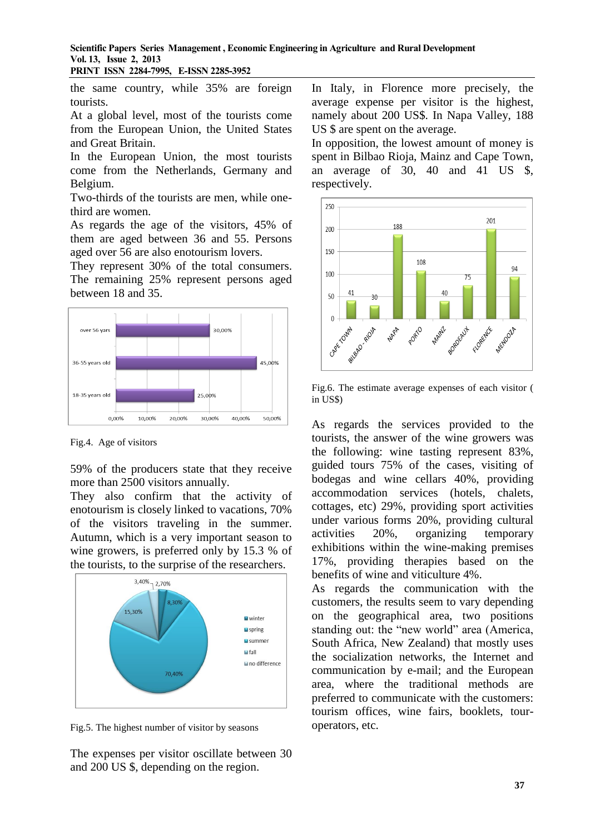**Scientific Papers Series Management , Economic Engineering in Agriculture and Rural Development Vol. 13, Issue 2, 2013**

**PRINT ISSN 2284-7995, E-ISSN 2285-3952** 

the same country, while 35% are foreign tourists.

At a global level, most of the tourists come from the European Union, the United States and Great Britain.

In the European Union, the most tourists come from the Netherlands, Germany and Belgium.

Two-thirds of the tourists are men, while onethird are women.

As regards the age of the visitors, 45% of them are aged between 36 and 55. Persons aged over 56 are also enotourism lovers.

They represent 30% of the total consumers. The remaining 25% represent persons aged between 18 and 35.



Fig.4. Age of visitors

59% of the producers state that they receive more than 2500 visitors annually.

They also confirm that the activity of enotourism is closely linked to vacations, 70% of the visitors traveling in the summer. Autumn, which is a very important season to wine growers, is preferred only by 15.3 % of the tourists, to the surprise of the researchers.



Fig.5. The highest number of visitor by seasons

The expenses per visitor oscillate between 30 and 200 US \$, depending on the region.

In Italy, in Florence more precisely, the average expense per visitor is the highest, namely about 200 US\$. In Napa Valley, 188 US \$ are spent on the average.

In opposition, the lowest amount of money is spent in Bilbao Rioja, Mainz and Cape Town, an average of 30, 40 and 41 US \$, respectively.



Fig.6. The estimate average expenses of each visitor ( in US\$)

As regards the services provided to the tourists, the answer of the wine growers was the following: wine tasting represent 83%, guided tours 75% of the cases, visiting of bodegas and wine cellars 40%, providing accommodation services (hotels, chalets, cottages, etc) 29%, providing sport activities under various forms 20%, providing cultural activities 20%, organizing temporary exhibitions within the wine-making premises 17%, providing therapies based on the benefits of wine and viticulture 4%.

As regards the communication with the customers, the results seem to vary depending on the geographical area, two positions standing out: the "new world" area (America, South Africa, New Zealand) that mostly uses the socialization networks, the Internet and communication by e-mail; and the European area, where the traditional methods are preferred to communicate with the customers: tourism offices, wine fairs, booklets, touroperators, etc.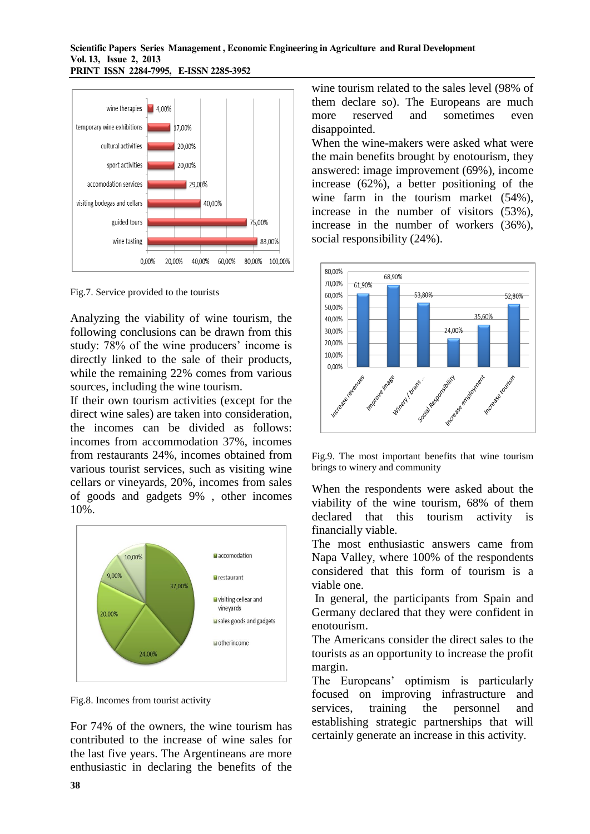

Fig.7. Service provided to the tourists

Analyzing the viability of wine tourism, the following conclusions can be drawn from this study: 78% of the wine producers' income is directly linked to the sale of their products, while the remaining 22% comes from various sources, including the wine tourism.

If their own tourism activities (except for the direct wine sales) are taken into consideration, the incomes can be divided as follows: incomes from accommodation 37%, incomes from restaurants 24%, incomes obtained from various tourist services, such as visiting wine cellars or vineyards, 20%, incomes from sales of goods and gadgets 9% , other incomes 10%.



Fig.8. Incomes from tourist activity

For 74% of the owners, the wine tourism has contributed to the increase of wine sales for the last five years. The Argentineans are more enthusiastic in declaring the benefits of the

wine tourism related to the sales level (98% of them declare so). The Europeans are much more reserved and sometimes even disappointed.

When the wine-makers were asked what were the main benefits brought by enotourism, they answered: image improvement (69%), income increase (62%), a better positioning of the wine farm in the tourism market (54%), increase in the number of visitors (53%), increase in the number of workers (36%), social responsibility (24%).



Fig.9. The most important benefits that wine tourism brings to winery and community

When the respondents were asked about the viability of the wine tourism, 68% of them declared that this tourism activity is financially viable.

The most enthusiastic answers came from Napa Valley, where 100% of the respondents considered that this form of tourism is a viable one.

In general, the participants from Spain and Germany declared that they were confident in enotourism.

The Americans consider the direct sales to the tourists as an opportunity to increase the profit margin.

The Europeans' optimism is particularly focused on improving infrastructure and services, training the personnel and establishing strategic partnerships that will certainly generate an increase in this activity.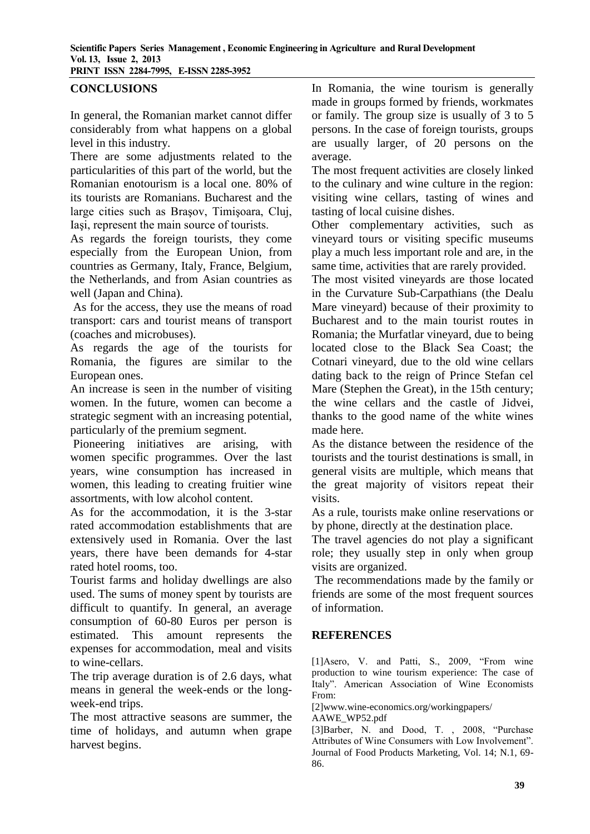### **CONCLUSIONS**

In general, the Romanian market cannot differ considerably from what happens on a global level in this industry.

There are some adjustments related to the particularities of this part of the world, but the Romanian enotourism is a local one. 80% of its tourists are Romanians. Bucharest and the large cities such as Braşov, Timişoara, Cluj, Iaşi, represent the main source of tourists.

As regards the foreign tourists, they come especially from the European Union, from countries as Germany, Italy, France, Belgium, the Netherlands, and from Asian countries as well (Japan and China).

As for the access, they use the means of road transport: cars and tourist means of transport (coaches and microbuses).

As regards the age of the tourists for Romania, the figures are similar to the European ones.

An increase is seen in the number of visiting women. In the future, women can become a strategic segment with an increasing potential, particularly of the premium segment.

Pioneering initiatives are arising, with women specific programmes. Over the last years, wine consumption has increased in women, this leading to creating fruitier wine assortments, with low alcohol content.

As for the accommodation, it is the 3-star rated accommodation establishments that are extensively used in Romania. Over the last years, there have been demands for 4-star rated hotel rooms, too.

Tourist farms and holiday dwellings are also used. The sums of money spent by tourists are difficult to quantify. In general, an average consumption of 60-80 Euros per person is estimated. This amount represents the expenses for accommodation, meal and visits to wine-cellars.

The trip average duration is of 2.6 days, what means in general the week-ends or the longweek-end trips.

The most attractive seasons are summer, the time of holidays, and autumn when grape harvest begins.

In Romania, the wine tourism is generally made in groups formed by friends, workmates or family. The group size is usually of 3 to 5 persons. In the case of foreign tourists, groups are usually larger, of 20 persons on the average.

The most frequent activities are closely linked to the culinary and wine culture in the region: visiting wine cellars, tasting of wines and tasting of local cuisine dishes.

Other complementary activities, such as vineyard tours or visiting specific museums play a much less important role and are, in the same time, activities that are rarely provided.

The most visited vineyards are those located in the Curvature Sub-Carpathians (the Dealu Mare vineyard) because of their proximity to Bucharest and to the main tourist routes in Romania; the Murfatlar vineyard, due to being located close to the Black Sea Coast; the Cotnari vineyard, due to the old wine cellars dating back to the reign of Prince Stefan cel Mare (Stephen the Great), in the 15th century; the wine cellars and the castle of Jidvei, thanks to the good name of the white wines made here.

As the distance between the residence of the tourists and the tourist destinations is small, in general visits are multiple, which means that the great majority of visitors repeat their visits.

As a rule, tourists make online reservations or by phone, directly at the destination place.

The travel agencies do not play a significant role; they usually step in only when group visits are organized.

The recommendations made by the family or friends are some of the most frequent sources of information.

### **REFERENCES**

[1]Asero, V. and Patti, S., 2009, "From wine production to wine tourism experience: The case of Italy". American Association of Wine Economists From:

[2]www.wine-economics.org/workingpapers/

AAWE\_WP52.pdf

[3]Barber, N. and Dood, T. , 2008, "Purchase Attributes of Wine Consumers with Low Involvement". Journal of Food Products Marketing, Vol. 14; N.1, 69- 86.